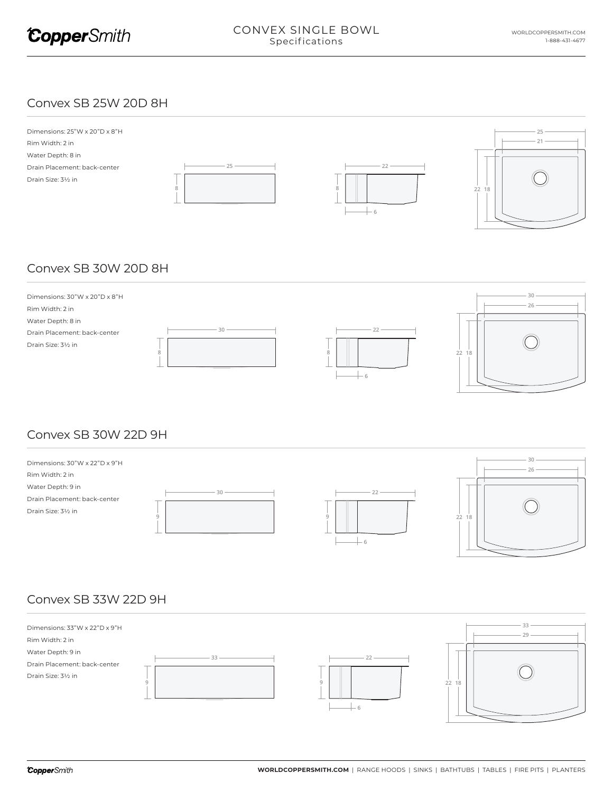#### Convex SB 25W 20D 8H



# Convex SB 30W 20D 8H



## Convex SB 30W 22D 9H



## Convex SB 33W 22D 9H